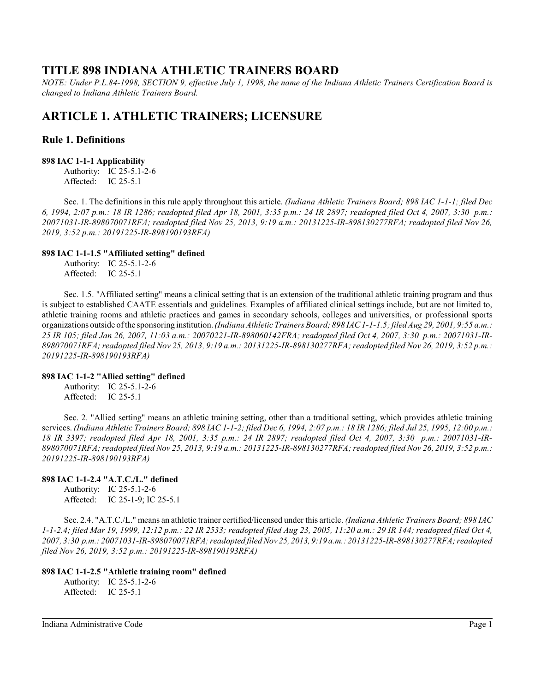# **TITLE 898 INDIANA ATHLETIC TRAINERS BOARD**

*NOTE: Under P.L.84-1998, SECTION 9, effective July 1, 1998, the name of the Indiana Athletic Trainers Certification Board is changed to Indiana Athletic Trainers Board.*

# **ARTICLE 1. ATHLETIC TRAINERS; LICENSURE**

## **Rule 1. Definitions**

### **898 IAC 1-1-1 Applicability**

Authority: IC 25-5.1-2-6 Affected: IC 25-5.1

Sec. 1. The definitions in this rule apply throughout this article. *(Indiana Athletic Trainers Board; 898 IAC 1-1-1; filed Dec 6, 1994, 2:07 p.m.: 18 IR 1286; readopted filed Apr 18, 2001, 3:35 p.m.: 24 IR 2897; readopted filed Oct 4, 2007, 3:30 p.m.: 20071031-IR-898070071RFA; readopted filed Nov 25, 2013, 9:19 a.m.: 20131225-IR-898130277RFA; readopted filed Nov 26, 2019, 3:52 p.m.: 20191225-IR-898190193RFA)*

## **898 IAC 1-1-1.5 "Affiliated setting" defined**

Authority: IC 25-5.1-2-6 Affected: IC 25-5.1

Sec. 1.5. "Affiliated setting" means a clinical setting that is an extension of the traditional athletic training program and thus is subject to established CAATE essentials and guidelines. Examples of affiliated clinical settings include, but are not limited to, athletic training rooms and athletic practices and games in secondary schools, colleges and universities, or professional sports organizations outside of the sponsoring institution. *(Indiana Athletic Trainers Board; 898 IAC 1-1-1.5; filed Aug 29, 2001, 9:55 a.m.: 25 IR 105; filed Jan 26, 2007, 11:03 a.m.: 20070221-IR-898060142FRA; readopted filed Oct 4, 2007, 3:30 p.m.: 20071031-IR-898070071RFA; readopted filed Nov 25, 2013, 9:19 a.m.: 20131225-IR-898130277RFA; readopted filed Nov 26, 2019, 3:52 p.m.: 20191225-IR-898190193RFA)*

## **898 IAC 1-1-2 "Allied setting" defined**

Authority: IC 25-5.1-2-6 Affected: IC 25-5.1

Sec. 2. "Allied setting" means an athletic training setting, other than a traditional setting, which provides athletic training services. *(Indiana Athletic Trainers Board; 898 IAC 1-1-2; filed Dec 6, 1994, 2:07 p.m.: 18 IR 1286; filed Jul 25, 1995, 12:00 p.m.: 18 IR 3397; readopted filed Apr 18, 2001, 3:35 p.m.: 24 IR 2897; readopted filed Oct 4, 2007, 3:30 p.m.: 20071031-IR-898070071RFA; readopted filed Nov 25, 2013, 9:19 a.m.: 20131225-IR-898130277RFA; readopted filed Nov 26, 2019, 3:52 p.m.: 20191225-IR-898190193RFA)*

## **898 IAC 1-1-2.4 "A.T.C./L." defined**

Authority: IC 25-5.1-2-6 Affected: IC 25-1-9; IC 25-5.1

Sec. 2.4. "A.T.C./L." means an athletic trainer certified/licensed under this article. *(Indiana Athletic Trainers Board; 898 IAC 1-1-2.4; filed Mar 19, 1999, 12:12 p.m.: 22 IR 2533; readopted filed Aug 23, 2005, 11:20 a.m.: 29 IR 144; readopted filed Oct 4, 2007, 3:30 p.m.: 20071031-IR-898070071RFA; readopted filed Nov 25, 2013, 9:19 a.m.: 20131225-IR-898130277RFA; readopted filed Nov 26, 2019, 3:52 p.m.: 20191225-IR-898190193RFA)*

## **898 IAC 1-1-2.5 "Athletic training room" defined**

Authority: IC 25-5.1-2-6 Affected: IC 25-5.1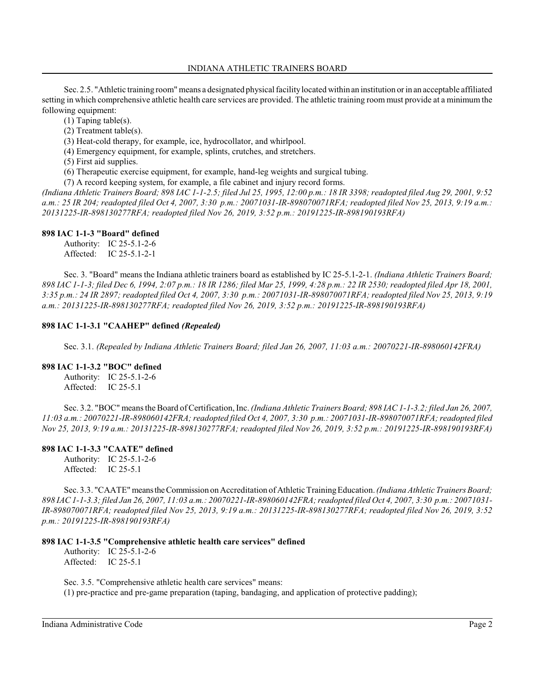### INDIANA ATHLETIC TRAINERS BOARD

Sec. 2.5. "Athletic training room" means a designated physical facilitylocated withinan institution orin an acceptable affiliated setting in which comprehensive athletic health care services are provided. The athletic training room must provide at a minimum the following equipment:

(1) Taping table(s).

(2) Treatment table(s).

(3) Heat-cold therapy, for example, ice, hydrocollator, and whirlpool.

(4) Emergency equipment, for example, splints, crutches, and stretchers.

(5) First aid supplies.

(6) Therapeutic exercise equipment, for example, hand-leg weights and surgical tubing.

(7) A record keeping system, for example, a file cabinet and injury record forms.

*(Indiana Athletic Trainers Board; 898 IAC 1-1-2.5; filed Jul 25, 1995, 12:00 p.m.: 18 IR 3398; readopted filed Aug 29, 2001, 9:52 a.m.: 25 IR 204; readopted filed Oct 4, 2007, 3:30 p.m.: 20071031-IR-898070071RFA; readopted filed Nov 25, 2013, 9:19 a.m.: 20131225-IR-898130277RFA; readopted filed Nov 26, 2019, 3:52 p.m.: 20191225-IR-898190193RFA)*

### **898 IAC 1-1-3 "Board" defined**

Authority: IC 25-5.1-2-6 Affected: IC 25-5.1-2-1

Sec. 3. "Board" means the Indiana athletic trainers board as established by IC 25-5.1-2-1. *(Indiana Athletic Trainers Board; 898 IAC 1-1-3; filed Dec 6, 1994, 2:07 p.m.: 18 IR 1286; filed Mar 25, 1999, 4:28 p.m.: 22 IR 2530; readopted filed Apr 18, 2001, 3:35 p.m.: 24 IR 2897; readopted filed Oct 4, 2007, 3:30 p.m.: 20071031-IR-898070071RFA; readopted filed Nov 25, 2013, 9:19 a.m.: 20131225-IR-898130277RFA; readopted filed Nov 26, 2019, 3:52 p.m.: 20191225-IR-898190193RFA)*

## **898 IAC 1-1-3.1 "CAAHEP" defined** *(Repealed)*

Sec. 3.1. *(Repealed by Indiana Athletic Trainers Board; filed Jan 26, 2007, 11:03 a.m.: 20070221-IR-898060142FRA)*

#### **898 IAC 1-1-3.2 "BOC" defined**

Authority: IC 25-5.1-2-6 Affected: IC 25-5.1

Sec. 3.2. "BOC" means the Board of Certification, Inc. *(Indiana Athletic Trainers Board; 898 IAC 1-1-3.2; filed Jan 26, 2007, 11:03 a.m.: 20070221-IR-898060142FRA; readopted filed Oct 4, 2007, 3:30 p.m.: 20071031-IR-898070071RFA; readopted filed Nov 25, 2013, 9:19 a.m.: 20131225-IR-898130277RFA; readopted filed Nov 26, 2019, 3:52 p.m.: 20191225-IR-898190193RFA)*

## **898 IAC 1-1-3.3 "CAATE" defined**

Authority: IC 25-5.1-2-6 Affected: IC 25-5.1

Sec. 3.3. "CAATE" meanstheCommission on Accreditation of Athletic TrainingEducation. *(Indiana Athletic Trainers Board; 898 IAC 1-1-3.3; filed Jan 26, 2007, 11:03 a.m.: 20070221-IR-898060142FRA; readopted filed Oct 4, 2007, 3:30 p.m.: 20071031- IR-898070071RFA; readopted filed Nov 25, 2013, 9:19 a.m.: 20131225-IR-898130277RFA; readopted filed Nov 26, 2019, 3:52 p.m.: 20191225-IR-898190193RFA)*

## **898 IAC 1-1-3.5 "Comprehensive athletic health care services" defined**

Authority: IC 25-5.1-2-6 Affected: IC 25-5.1

Sec. 3.5. "Comprehensive athletic health care services" means: (1) pre-practice and pre-game preparation (taping, bandaging, and application of protective padding);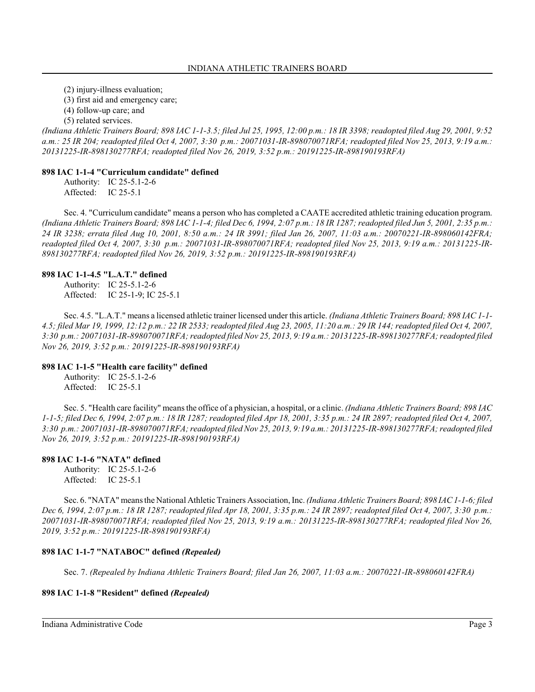(2) injury-illness evaluation;

(3) first aid and emergency care;

(4) follow-up care; and

(5) related services.

*(Indiana Athletic Trainers Board; 898 IAC 1-1-3.5; filed Jul 25, 1995, 12:00 p.m.: 18 IR 3398; readopted filed Aug 29, 2001, 9:52 a.m.: 25 IR 204; readopted filed Oct 4, 2007, 3:30 p.m.: 20071031-IR-898070071RFA; readopted filed Nov 25, 2013, 9:19 a.m.: 20131225-IR-898130277RFA; readopted filed Nov 26, 2019, 3:52 p.m.: 20191225-IR-898190193RFA)*

#### **898 IAC 1-1-4 "Curriculum candidate" defined**

Authority: IC 25-5.1-2-6 Affected: IC 25-5.1

Sec. 4. "Curriculum candidate" means a person who has completed a CAATE accredited athletic training education program. *(Indiana Athletic Trainers Board; 898 IAC 1-1-4; filed Dec 6, 1994, 2:07 p.m.: 18 IR 1287; readopted filed Jun 5, 2001, 2:35 p.m.: 24 IR 3238; errata filed Aug 10, 2001, 8:50 a.m.: 24 IR 3991; filed Jan 26, 2007, 11:03 a.m.: 20070221-IR-898060142FRA; readopted filed Oct 4, 2007, 3:30 p.m.: 20071031-IR-898070071RFA; readopted filed Nov 25, 2013, 9:19 a.m.: 20131225-IR-898130277RFA; readopted filed Nov 26, 2019, 3:52 p.m.: 20191225-IR-898190193RFA)*

#### **898 IAC 1-1-4.5 "L.A.T." defined**

Authority: IC 25-5.1-2-6 Affected: IC 25-1-9; IC 25-5.1

Sec. 4.5. "L.A.T." means a licensed athletic trainer licensed under this article. *(Indiana Athletic Trainers Board; 898 IAC 1-1- 4.5; filed Mar 19, 1999, 12:12 p.m.: 22 IR 2533; readopted filed Aug 23, 2005, 11:20 a.m.: 29 IR 144; readopted filed Oct 4, 2007, 3:30 p.m.: 20071031-IR-898070071RFA; readopted filed Nov 25, 2013, 9:19 a.m.: 20131225-IR-898130277RFA; readopted filed Nov 26, 2019, 3:52 p.m.: 20191225-IR-898190193RFA)*

#### **898 IAC 1-1-5 "Health care facility" defined**

Authority: IC 25-5.1-2-6 Affected: IC 25-5.1

Sec. 5. "Health care facility" means the office of a physician, a hospital, or a clinic. *(Indiana Athletic Trainers Board; 898 IAC 1-1-5; filed Dec 6, 1994, 2:07 p.m.: 18 IR 1287; readopted filed Apr 18, 2001, 3:35 p.m.: 24 IR 2897; readopted filed Oct 4, 2007, 3:30 p.m.: 20071031-IR-898070071RFA; readopted filed Nov 25, 2013, 9:19 a.m.: 20131225-IR-898130277RFA; readopted filed Nov 26, 2019, 3:52 p.m.: 20191225-IR-898190193RFA)*

#### **898 IAC 1-1-6 "NATA" defined**

Authority: IC 25-5.1-2-6 Affected: IC 25-5.1

Sec. 6. "NATA" means the National Athletic Trainers Association, Inc. *(Indiana Athletic Trainers Board; 898 IAC 1-1-6;filed Dec 6, 1994, 2:07 p.m.: 18 IR 1287; readopted filed Apr 18, 2001, 3:35 p.m.: 24 IR 2897; readopted filed Oct 4, 2007, 3:30 p.m.: 20071031-IR-898070071RFA; readopted filed Nov 25, 2013, 9:19 a.m.: 20131225-IR-898130277RFA; readopted filed Nov 26, 2019, 3:52 p.m.: 20191225-IR-898190193RFA)*

### **898 IAC 1-1-7 "NATABOC" defined** *(Repealed)*

Sec. 7. *(Repealed by Indiana Athletic Trainers Board; filed Jan 26, 2007, 11:03 a.m.: 20070221-IR-898060142FRA)*

#### **898 IAC 1-1-8 "Resident" defined** *(Repealed)*

Indiana Administrative Code Page 3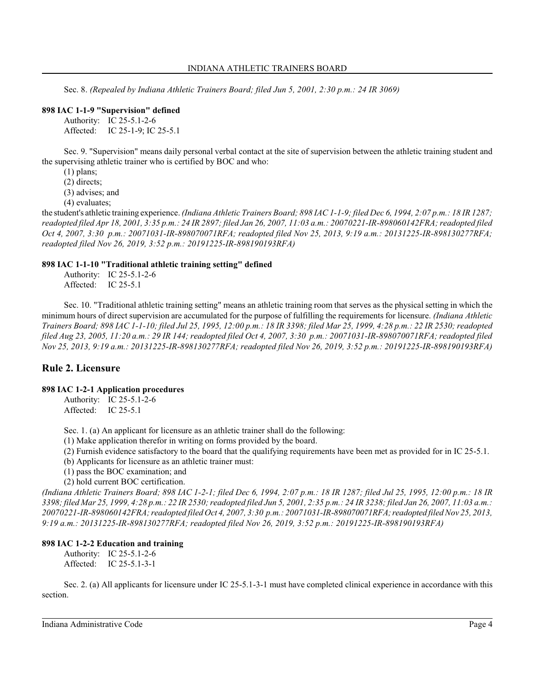Sec. 8. *(Repealed by Indiana Athletic Trainers Board; filed Jun 5, 2001, 2:30 p.m.: 24 IR 3069)*

#### **898 IAC 1-1-9 "Supervision" defined**

Authority: IC 25-5.1-2-6 Affected: IC 25-1-9; IC 25-5.1

Sec. 9. "Supervision" means daily personal verbal contact at the site of supervision between the athletic training student and the supervising athletic trainer who is certified by BOC and who:

(1) plans;

(2) directs;

(3) advises; and

(4) evaluates;

the student's athletic training experience. *(Indiana Athletic Trainers Board; 898 IAC 1-1-9; filed Dec 6, 1994, 2:07 p.m.: 18 IR 1287; readopted filed Apr 18, 2001, 3:35 p.m.: 24 IR 2897; filed Jan 26, 2007, 11:03 a.m.: 20070221-IR-898060142FRA; readopted filed Oct 4, 2007, 3:30 p.m.: 20071031-IR-898070071RFA; readopted filed Nov 25, 2013, 9:19 a.m.: 20131225-IR-898130277RFA; readopted filed Nov 26, 2019, 3:52 p.m.: 20191225-IR-898190193RFA)*

#### **898 IAC 1-1-10 "Traditional athletic training setting" defined**

Authority: IC 25-5.1-2-6 Affected: IC 25-5.1

Sec. 10. "Traditional athletic training setting" means an athletic training room that serves as the physical setting in which the minimum hours of direct supervision are accumulated for the purpose of fulfilling the requirements for licensure. *(Indiana Athletic Trainers Board; 898 IAC 1-1-10; filed Jul 25, 1995, 12:00 p.m.: 18 IR 3398; filed Mar 25, 1999, 4:28 p.m.: 22 IR 2530; readopted filed Aug 23, 2005, 11:20 a.m.: 29 IR 144; readopted filed Oct 4, 2007, 3:30 p.m.: 20071031-IR-898070071RFA; readopted filed Nov 25, 2013, 9:19 a.m.: 20131225-IR-898130277RFA; readopted filed Nov 26, 2019, 3:52 p.m.: 20191225-IR-898190193RFA)*

## **Rule 2. Licensure**

### **898 IAC 1-2-1 Application procedures**

Authority: IC 25-5.1-2-6 Affected: IC 25-5.1

Sec. 1. (a) An applicant for licensure as an athletic trainer shall do the following:

(1) Make application therefor in writing on forms provided by the board.

(2) Furnish evidence satisfactory to the board that the qualifying requirements have been met as provided for in IC 25-5.1.

(b) Applicants for licensure as an athletic trainer must:

(1) pass the BOC examination; and

(2) hold current BOC certification.

*(Indiana Athletic Trainers Board; 898 IAC 1-2-1; filed Dec 6, 1994, 2:07 p.m.: 18 IR 1287; filed Jul 25, 1995, 12:00 p.m.: 18 IR 3398; filed Mar 25, 1999, 4:28 p.m.: 22 IR 2530; readopted filed Jun 5, 2001, 2:35 p.m.: 24 IR 3238; filed Jan 26, 2007, 11:03 a.m.: 20070221-IR-898060142FRA; readopted filed Oct 4, 2007, 3:30 p.m.: 20071031-IR-898070071RFA; readopted filed Nov 25, 2013, 9:19 a.m.: 20131225-IR-898130277RFA; readopted filed Nov 26, 2019, 3:52 p.m.: 20191225-IR-898190193RFA)*

#### **898 IAC 1-2-2 Education and training**

Authority: IC 25-5.1-2-6 Affected: IC 25-5.1-3-1

Sec. 2. (a) All applicants for licensure under IC 25-5.1-3-1 must have completed clinical experience in accordance with this section.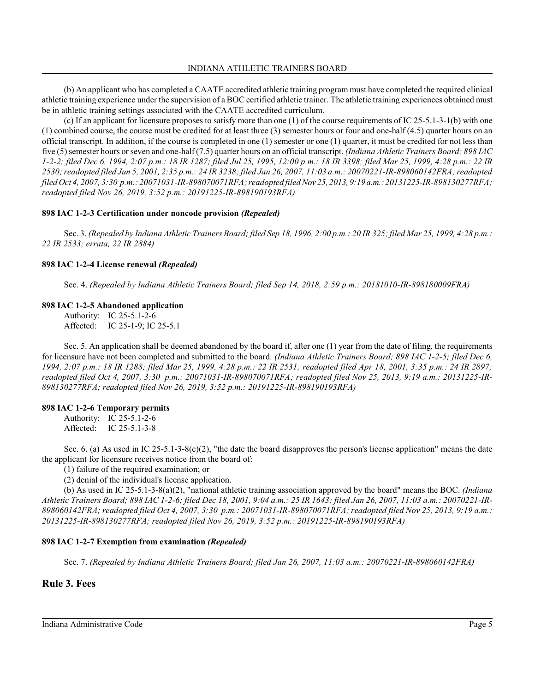(b) An applicant who has completed a CAATE accredited athletic training program must have completed the required clinical athletic training experience under the supervision of a BOC certified athletic trainer. The athletic training experiences obtained must be in athletic training settings associated with the CAATE accredited curriculum.

(c) If an applicant for licensure proposes to satisfy more than one (1) of the course requirements of IC 25-5.1-3-1(b) with one (1) combined course, the course must be credited for at least three (3) semester hours or four and one-half (4.5) quarter hours on an official transcript. In addition, if the course is completed in one (1) semester or one (1) quarter, it must be credited for not less than five (5) semester hours orseven and one-half (7.5) quarter hours on an official transcript. *(Indiana Athletic Trainers Board; 898 IAC 1-2-2; filed Dec 6, 1994, 2:07 p.m.: 18 IR 1287; filed Jul 25, 1995, 12:00 p.m.: 18 IR 3398; filed Mar 25, 1999, 4:28 p.m.: 22 IR 2530; readopted filed Jun 5, 2001, 2:35 p.m.: 24 IR 3238; filed Jan 26, 2007, 11:03 a.m.: 20070221-IR-898060142FRA; readopted filed Oct 4, 2007, 3:30 p.m.: 20071031-IR-898070071RFA; readopted filed Nov 25, 2013, 9:19 a.m.: 20131225-IR-898130277RFA; readopted filed Nov 26, 2019, 3:52 p.m.: 20191225-IR-898190193RFA)*

## **898 IAC 1-2-3 Certification under noncode provision** *(Repealed)*

Sec. 3. *(Repealed by Indiana Athletic Trainers Board; filed Sep 18, 1996, 2:00 p.m.: 20 IR 325; filed Mar 25, 1999, 4:28 p.m.: 22 IR 2533; errata, 22 IR 2884)*

## **898 IAC 1-2-4 License renewal** *(Repealed)*

Sec. 4. *(Repealed by Indiana Athletic Trainers Board; filed Sep 14, 2018, 2:59 p.m.: 20181010-IR-898180009FRA)*

## **898 IAC 1-2-5 Abandoned application**

Authority: IC 25-5.1-2-6 Affected: IC 25-1-9; IC 25-5.1

Sec. 5. An application shall be deemed abandoned by the board if, after one (1) year from the date of filing, the requirements for licensure have not been completed and submitted to the board. *(Indiana Athletic Trainers Board; 898 IAC 1-2-5; filed Dec 6, 1994, 2:07 p.m.: 18 IR 1288; filed Mar 25, 1999, 4:28 p.m.: 22 IR 2531; readopted filed Apr 18, 2001, 3:35 p.m.: 24 IR 2897; readopted filed Oct 4, 2007, 3:30 p.m.: 20071031-IR-898070071RFA; readopted filed Nov 25, 2013, 9:19 a.m.: 20131225-IR-898130277RFA; readopted filed Nov 26, 2019, 3:52 p.m.: 20191225-IR-898190193RFA)*

## **898 IAC 1-2-6 Temporary permits**

Authority: IC 25-5.1-2-6 Affected: IC 25-5.1-3-8

Sec. 6. (a) As used in IC 25-5.1-3-8(c)(2), "the date the board disapproves the person's license application" means the date the applicant for licensure receives notice from the board of:

(1) failure of the required examination; or

(2) denial of the individual's license application.

(b) As used in IC 25-5.1-3-8(a)(2), "national athletic training association approved by the board" means the BOC. *(Indiana Athletic Trainers Board; 898 IAC 1-2-6; filed Dec 18, 2001, 9:04 a.m.: 25 IR 1643; filed Jan 26, 2007, 11:03 a.m.: 20070221-IR-898060142FRA; readopted filed Oct 4, 2007, 3:30 p.m.: 20071031-IR-898070071RFA; readopted filed Nov 25, 2013, 9:19 a.m.: 20131225-IR-898130277RFA; readopted filed Nov 26, 2019, 3:52 p.m.: 20191225-IR-898190193RFA)*

## **898 IAC 1-2-7 Exemption from examination** *(Repealed)*

Sec. 7. *(Repealed by Indiana Athletic Trainers Board; filed Jan 26, 2007, 11:03 a.m.: 20070221-IR-898060142FRA)*

## **Rule 3. Fees**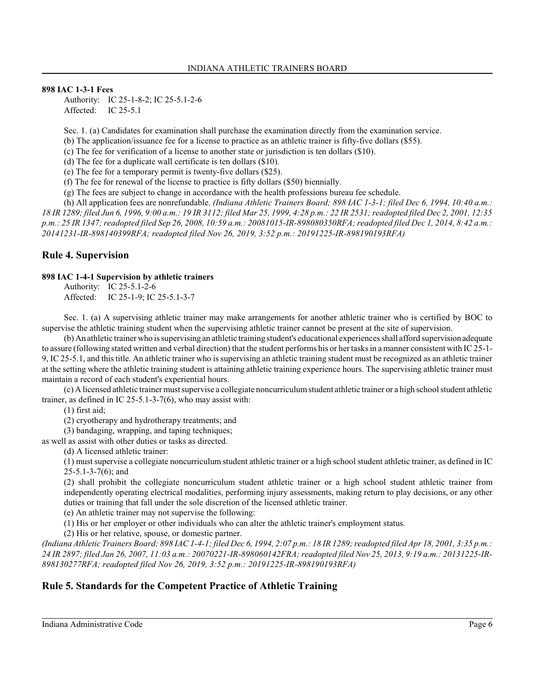## **898 IAC 1-3-1 Fees**

Authority: IC 25-1-8-2; IC 25-5.1-2-6 Affected: IC 25-5.1

Sec. 1. (a) Candidates for examination shall purchase the examination directly from the examination service.

(b) The application/issuance fee for a license to practice as an athletic trainer is fifty-five dollars (\$55).

(c) The fee for verification of a license to another state or jurisdiction is ten dollars (\$10).

(d) The fee for a duplicate wall certificate is ten dollars (\$10).

(e) The fee for a temporary permit is twenty-five dollars (\$25).

(f) The fee for renewal of the license to practice is fifty dollars (\$50) biennially.

(g) The fees are subject to change in accordance with the health professions bureau fee schedule.

(h) All application fees are nonrefundable. *(Indiana Athletic Trainers Board; 898 IAC 1-3-1; filed Dec 6, 1994, 10:40 a.m.: 18 IR 1289; filed Jun 6, 1996, 9:00 a.m.: 19 IR 3112; filed Mar 25, 1999, 4:28 p.m.: 22 IR 2531; readopted filed Dec 2, 2001, 12:35 p.m.: 25 IR 1347; readopted filed Sep 26, 2008, 10:59 a.m.: 20081015-IR-898080350RFA; readopted filed Dec 1, 2014, 8:42 a.m.: 20141231-IR-898140399RFA; readopted filed Nov 26, 2019, 3:52 p.m.: 20191225-IR-898190193RFA)*

## **Rule 4. Supervision**

### **898 IAC 1-4-1 Supervision by athletic trainers**

Authority: IC 25-5.1-2-6 Affected: IC 25-1-9; IC 25-5.1-3-7

Sec. 1. (a) A supervising athletic trainer may make arrangements for another athletic trainer who is certified by BOC to supervise the athletic training student when the supervising athletic trainer cannot be present at the site of supervision.

(b) An athletic trainer who is supervising an athletic training student's educational experiences shall afford supervisionadequate to assure (following stated written and verbal direction) that the student performs his or her tasksin a manner consistent with IC 25-1- 9, IC 25-5.1, and thistitle. An athletic trainer who is supervising an athletic training student must be recognized as an athletic trainer at the setting where the athletic training student is attaining athletic training experience hours. The supervising athletic trainer must maintain a record of each student's experiential hours.

(c) A licensed athletic trainer mustsupervise a collegiate noncurriculumstudent athletic trainer or a high school student athletic trainer, as defined in IC 25-5.1-3-7(6), who may assist with:

(1) first aid;

(2) cryotherapy and hydrotherapy treatments; and

(3) bandaging, wrapping, and taping techniques;

as well as assist with other duties or tasks as directed.

(d) A licensed athletic trainer:

(1) mustsupervise a collegiate noncurriculum student athletic trainer or a high school student athletic trainer, as defined in IC 25-5.1-3-7(6); and

(2) shall prohibit the collegiate noncurriculum student athletic trainer or a high school student athletic trainer from independently operating electrical modalities, performing injury assessments, making return to play decisions, or any other duties or training that fall under the sole discretion of the licensed athletic trainer.

(e) An athletic trainer may not supervise the following:

(1) His or her employer or other individuals who can alter the athletic trainer's employment status.

(2) His or her relative, spouse, or domestic partner.

*(Indiana Athletic Trainers Board; 898 IAC 1-4-1; filed Dec 6, 1994, 2:07 p.m.: 18 IR 1289; readopted filed Apr 18, 2001, 3:35 p.m.: 24 IR 2897; filed Jan 26, 2007, 11:03 a.m.: 20070221-IR-898060142FRA; readopted filed Nov 25, 2013, 9:19 a.m.: 20131225-IR-898130277RFA; readopted filed Nov 26, 2019, 3:52 p.m.: 20191225-IR-898190193RFA)*

# **Rule 5. Standards for the Competent Practice of Athletic Training**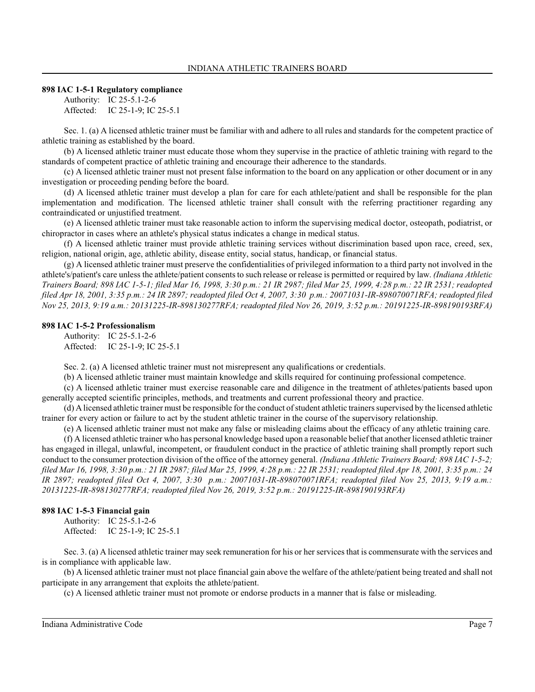#### **898 IAC 1-5-1 Regulatory compliance**

Authority: IC 25-5.1-2-6 Affected: IC 25-1-9; IC 25-5.1

Sec. 1. (a) A licensed athletic trainer must be familiar with and adhere to all rules and standards for the competent practice of athletic training as established by the board.

(b) A licensed athletic trainer must educate those whom they supervise in the practice of athletic training with regard to the standards of competent practice of athletic training and encourage their adherence to the standards.

(c) A licensed athletic trainer must not present false information to the board on any application or other document or in any investigation or proceeding pending before the board.

(d) A licensed athletic trainer must develop a plan for care for each athlete/patient and shall be responsible for the plan implementation and modification. The licensed athletic trainer shall consult with the referring practitioner regarding any contraindicated or unjustified treatment.

(e) A licensed athletic trainer must take reasonable action to inform the supervising medical doctor, osteopath, podiatrist, or chiropractor in cases where an athlete's physical status indicates a change in medical status.

(f) A licensed athletic trainer must provide athletic training services without discrimination based upon race, creed, sex, religion, national origin, age, athletic ability, disease entity, social status, handicap, or financial status.

(g) A licensed athletic trainer must preserve the confidentialities of privileged information to a third party not involved in the athlete's/patient's care unless the athlete/patient consentsto such release or release is permitted or required by law. *(Indiana Athletic Trainers Board; 898 IAC 1-5-1; filed Mar 16, 1998, 3:30 p.m.: 21 IR 2987; filed Mar 25, 1999, 4:28 p.m.: 22 IR 2531; readopted filed Apr 18, 2001, 3:35 p.m.: 24 IR 2897; readopted filed Oct 4, 2007, 3:30 p.m.: 20071031-IR-898070071RFA; readopted filed Nov 25, 2013, 9:19 a.m.: 20131225-IR-898130277RFA; readopted filed Nov 26, 2019, 3:52 p.m.: 20191225-IR-898190193RFA)*

#### **898 IAC 1-5-2 Professionalism**

Authority: IC 25-5.1-2-6 Affected: IC 25-1-9; IC 25-5.1

Sec. 2. (a) A licensed athletic trainer must not misrepresent any qualifications or credentials.

(b) A licensed athletic trainer must maintain knowledge and skills required for continuing professional competence.

(c) A licensed athletic trainer must exercise reasonable care and diligence in the treatment of athletes/patients based upon generally accepted scientific principles, methods, and treatments and current professional theory and practice.

(d) A licensed athletic trainer must be responsible for the conduct of student athletic trainers supervised by the licensed athletic trainer for every action or failure to act by the student athletic trainer in the course of the supervisory relationship.

(e) A licensed athletic trainer must not make any false or misleading claims about the efficacy of any athletic training care.

(f) A licensed athletic trainer who has personal knowledge based upon a reasonable belief that another licensed athletic trainer has engaged in illegal, unlawful, incompetent, or fraudulent conduct in the practice of athletic training shall promptly report such conduct to the consumer protection division of the office of the attorney general. *(Indiana Athletic Trainers Board; 898 IAC 1-5-2; filed Mar 16, 1998, 3:30 p.m.: 21 IR 2987; filed Mar 25, 1999, 4:28 p.m.: 22 IR 2531; readopted filed Apr 18, 2001, 3:35 p.m.: 24 IR 2897; readopted filed Oct 4, 2007, 3:30 p.m.: 20071031-IR-898070071RFA; readopted filed Nov 25, 2013, 9:19 a.m.: 20131225-IR-898130277RFA; readopted filed Nov 26, 2019, 3:52 p.m.: 20191225-IR-898190193RFA)*

#### **898 IAC 1-5-3 Financial gain**

Authority: IC 25-5.1-2-6 Affected: IC 25-1-9; IC 25-5.1

Sec. 3. (a) A licensed athletic trainer may seek remuneration for his or her services that is commensurate with the services and is in compliance with applicable law.

(b) A licensed athletic trainer must not place financial gain above the welfare of the athlete/patient being treated and shall not participate in any arrangement that exploits the athlete/patient.

(c) A licensed athletic trainer must not promote or endorse products in a manner that is false or misleading.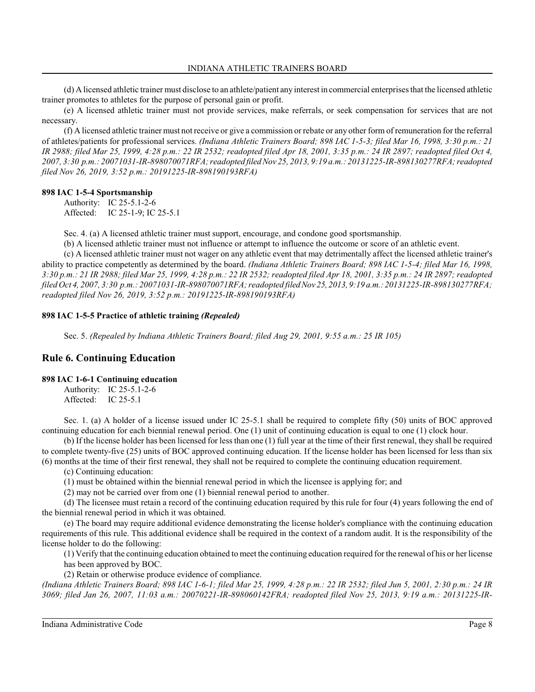(d) A licensed athletic trainer must disclose to an athlete/patient any interest in commercial enterprises that the licensed athletic trainer promotes to athletes for the purpose of personal gain or profit.

(e) A licensed athletic trainer must not provide services, make referrals, or seek compensation for services that are not necessary.

(f) A licensed athletic trainer must not receive or give a commission or rebate or any other form of remuneration for the referral of athletes/patients for professional services. *(Indiana Athletic Trainers Board; 898 IAC 1-5-3; filed Mar 16, 1998, 3:30 p.m.: 21 IR 2988; filed Mar 25, 1999, 4:28 p.m.: 22 IR 2532; readopted filed Apr 18, 2001, 3:35 p.m.: 24 IR 2897; readopted filed Oct 4, 2007, 3:30 p.m.: 20071031-IR-898070071RFA; readopted filed Nov 25, 2013, 9:19 a.m.: 20131225-IR-898130277RFA; readopted filed Nov 26, 2019, 3:52 p.m.: 20191225-IR-898190193RFA)*

## **898 IAC 1-5-4 Sportsmanship**

Authority: IC 25-5.1-2-6 Affected: IC 25-1-9; IC 25-5.1

Sec. 4. (a) A licensed athletic trainer must support, encourage, and condone good sportsmanship.

(b) A licensed athletic trainer must not influence or attempt to influence the outcome or score of an athletic event.

(c) A licensed athletic trainer must not wager on any athletic event that may detrimentally affect the licensed athletic trainer's ability to practice competently as determined by the board. *(Indiana Athletic Trainers Board; 898 IAC 1-5-4; filed Mar 16, 1998, 3:30 p.m.: 21 IR 2988; filed Mar 25, 1999, 4:28 p.m.: 22 IR 2532; readopted filed Apr 18, 2001, 3:35 p.m.: 24 IR 2897; readopted filed Oct 4, 2007, 3:30 p.m.: 20071031-IR-898070071RFA; readopted filed Nov 25, 2013, 9:19 a.m.: 20131225-IR-898130277RFA; readopted filed Nov 26, 2019, 3:52 p.m.: 20191225-IR-898190193RFA)*

## **898 IAC 1-5-5 Practice of athletic training** *(Repealed)*

Sec. 5. *(Repealed by Indiana Athletic Trainers Board; filed Aug 29, 2001, 9:55 a.m.: 25 IR 105)*

## **Rule 6. Continuing Education**

#### **898 IAC 1-6-1 Continuing education**

Authority: IC 25-5.1-2-6 Affected: IC 25-5.1

Sec. 1. (a) A holder of a license issued under IC 25-5.1 shall be required to complete fifty (50) units of BOC approved continuing education for each biennial renewal period. One (1) unit of continuing education is equal to one (1) clock hour.

(b) If the license holder has been licensed for less than one (1) full year at the time of their first renewal, they shall be required to complete twenty-five (25) units of BOC approved continuing education. If the license holder has been licensed for less than six (6) months at the time of their first renewal, they shall not be required to complete the continuing education requirement.

(c) Continuing education:

(1) must be obtained within the biennial renewal period in which the licensee is applying for; and

(2) may not be carried over from one (1) biennial renewal period to another.

(d) The licensee must retain a record of the continuing education required by this rule for four (4) years following the end of the biennial renewal period in which it was obtained.

(e) The board may require additional evidence demonstrating the license holder's compliance with the continuing education requirements of this rule. This additional evidence shall be required in the context of a random audit. It is the responsibility of the license holder to do the following:

(1) Verify that the continuing education obtained to meet the continuing education required for the renewal of his or her license has been approved by BOC.

(2) Retain or otherwise produce evidence of compliance.

*(Indiana Athletic Trainers Board; 898 IAC 1-6-1; filed Mar 25, 1999, 4:28 p.m.: 22 IR 2532; filed Jun 5, 2001, 2:30 p.m.: 24 IR 3069; filed Jan 26, 2007, 11:03 a.m.: 20070221-IR-898060142FRA; readopted filed Nov 25, 2013, 9:19 a.m.: 20131225-IR-*